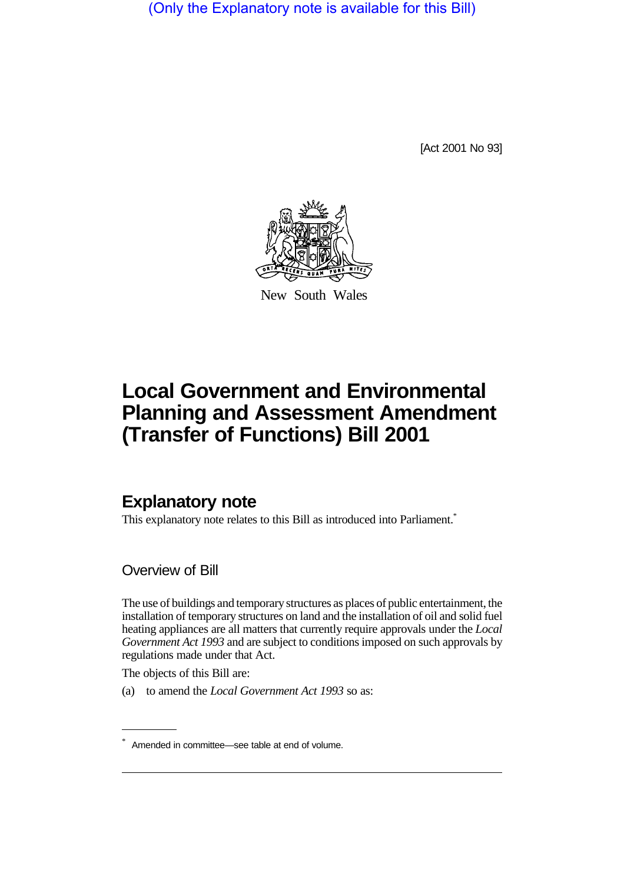(Only the Explanatory note is available for this Bill)

[Act 2001 No 93]



New South Wales

# **Local Government and Environmental Planning and Assessment Amendment (Transfer of Functions) Bill 2001**

# **Explanatory note**

This explanatory note relates to this Bill as introduced into Parliament.<sup>\*</sup>

Overview of Bill

The use of buildings and temporary structures as places of public entertainment, the installation of temporary structures on land and the installation of oil and solid fuel heating appliances are all matters that currently require approvals under the *Local Government Act 1993* and are subject to conditions imposed on such approvals by regulations made under that Act.

The objects of this Bill are:

(a) to amend the *Local Government Act 1993* so as:

<sup>\*</sup> Amended in committee—see table at end of volume.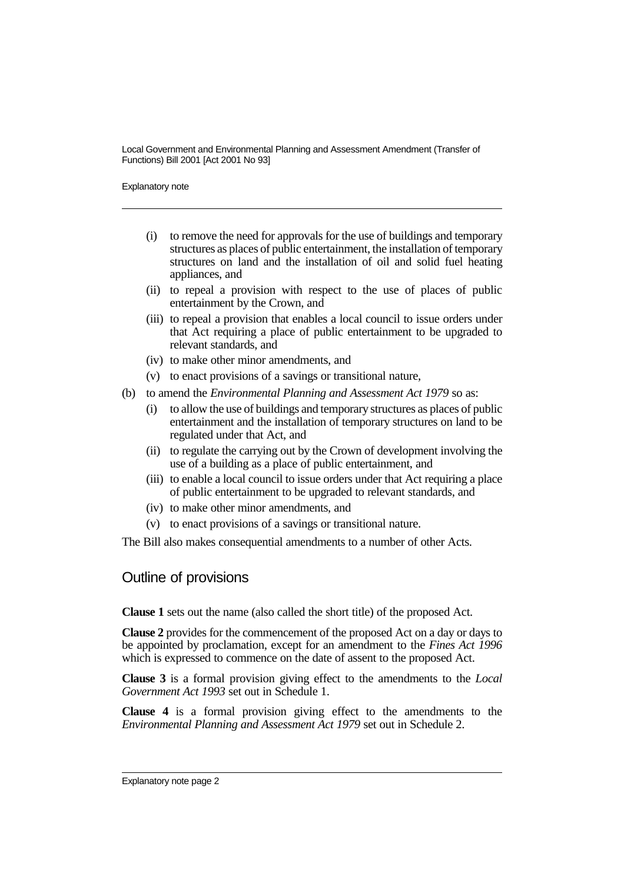Explanatory note

- (i) to remove the need for approvals for the use of buildings and temporary structures as places of public entertainment, the installation of temporary structures on land and the installation of oil and solid fuel heating appliances, and
- (ii) to repeal a provision with respect to the use of places of public entertainment by the Crown, and
- (iii) to repeal a provision that enables a local council to issue orders under that Act requiring a place of public entertainment to be upgraded to relevant standards, and
- (iv) to make other minor amendments, and
- (v) to enact provisions of a savings or transitional nature,
- (b) to amend the *Environmental Planning and Assessment Act 1979* so as:
	- (i) to allow the use of buildings and temporary structures as places of public entertainment and the installation of temporary structures on land to be regulated under that Act, and
	- (ii) to regulate the carrying out by the Crown of development involving the use of a building as a place of public entertainment, and
	- (iii) to enable a local council to issue orders under that Act requiring a place of public entertainment to be upgraded to relevant standards, and
	- (iv) to make other minor amendments, and
	- (v) to enact provisions of a savings or transitional nature.

The Bill also makes consequential amendments to a number of other Acts.

# Outline of provisions

**Clause 1** sets out the name (also called the short title) of the proposed Act.

**Clause 2** provides for the commencement of the proposed Act on a day or days to be appointed by proclamation, except for an amendment to the *Fines Act 1996* which is expressed to commence on the date of assent to the proposed Act.

**Clause 3** is a formal provision giving effect to the amendments to the *Local Government Act 1993* set out in Schedule 1.

**Clause 4** is a formal provision giving effect to the amendments to the *Environmental Planning and Assessment Act 1979* set out in Schedule 2.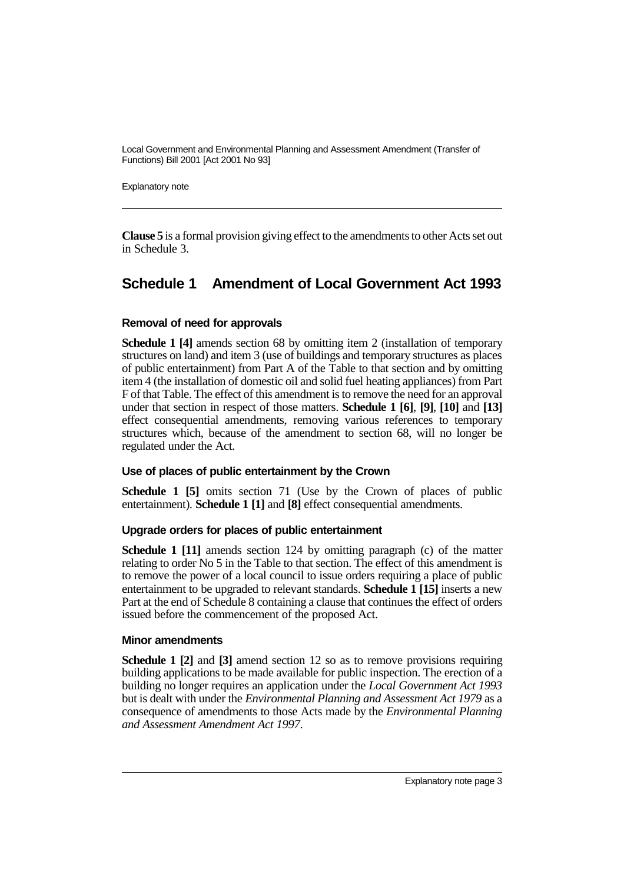Explanatory note

**Clause 5** is a formal provision giving effect to the amendments to other Acts set out in Schedule 3.

# **Schedule 1 Amendment of Local Government Act 1993**

### **Removal of need for approvals**

**Schedule 1 [4]** amends section 68 by omitting item 2 (installation of temporary structures on land) and item 3 (use of buildings and temporary structures as places of public entertainment) from Part A of the Table to that section and by omitting item 4 (the installation of domestic oil and solid fuel heating appliances) from Part F of that Table. The effect of this amendment is to remove the need for an approval under that section in respect of those matters. **Schedule 1 [6]**, **[9]**, **[10]** and **[13]** effect consequential amendments, removing various references to temporary structures which, because of the amendment to section 68, will no longer be regulated under the Act.

## **Use of places of public entertainment by the Crown**

**Schedule 1 [5]** omits section 71 (Use by the Crown of places of public entertainment). **Schedule 1 [1]** and **[8]** effect consequential amendments.

#### **Upgrade orders for places of public entertainment**

**Schedule 1 [11]** amends section 124 by omitting paragraph (c) of the matter relating to order No 5 in the Table to that section. The effect of this amendment is to remove the power of a local council to issue orders requiring a place of public entertainment to be upgraded to relevant standards. **Schedule 1 [15]** inserts a new Part at the end of Schedule 8 containing a clause that continues the effect of orders issued before the commencement of the proposed Act.

#### **Minor amendments**

**Schedule 1 [2]** and **[3]** amend section 12 so as to remove provisions requiring building applications to be made available for public inspection. The erection of a building no longer requires an application under the *Local Government Act 1993* but is dealt with under the *Environmental Planning and Assessment Act 1979* as a consequence of amendments to those Acts made by the *Environmental Planning and Assessment Amendment Act 1997*.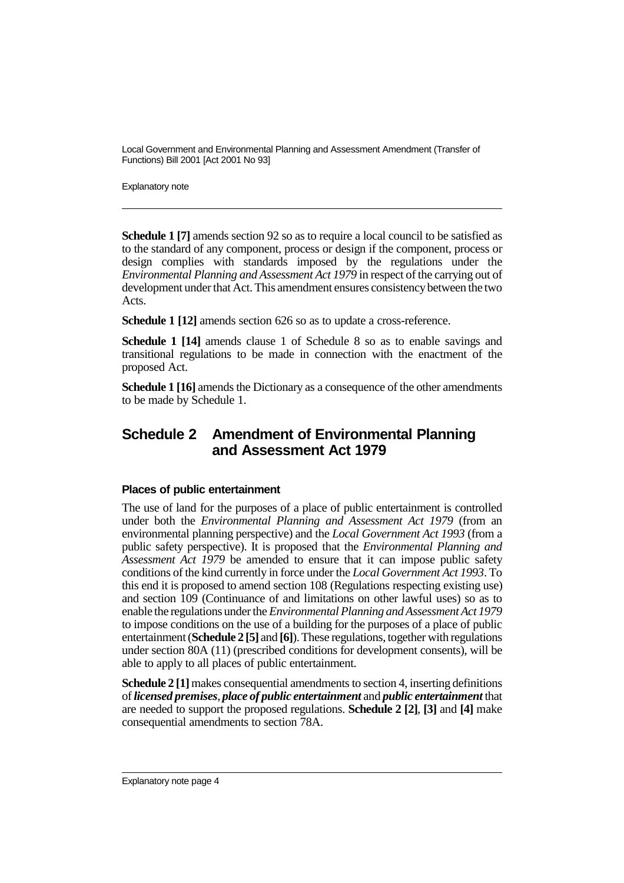Explanatory note

**Schedule 1 [7]** amends section 92 so as to require a local council to be satisfied as to the standard of any component, process or design if the component, process or design complies with standards imposed by the regulations under the *Environmental Planning and Assessment Act 1979* in respect of the carrying out of development under that Act. This amendment ensures consistency between the two Acts.

**Schedule 1 [12]** amends section 626 so as to update a cross-reference.

**Schedule 1 [14]** amends clause 1 of Schedule 8 so as to enable savings and transitional regulations to be made in connection with the enactment of the proposed Act.

**Schedule 1 [16]** amends the Dictionary as a consequence of the other amendments to be made by Schedule 1.

# **Schedule 2 Amendment of Environmental Planning and Assessment Act 1979**

## **Places of public entertainment**

The use of land for the purposes of a place of public entertainment is controlled under both the *Environmental Planning and Assessment Act 1979* (from an environmental planning perspective) and the *Local Government Act 1993* (from a public safety perspective). It is proposed that the *Environmental Planning and Assessment Act 1979* be amended to ensure that it can impose public safety conditions of the kind currently in force under the *Local Government Act 1993*. To this end it is proposed to amend section 108 (Regulations respecting existing use) and section 109 (Continuance of and limitations on other lawful uses) so as to enable the regulations under the *Environmental Planning and Assessment Act 1979* to impose conditions on the use of a building for the purposes of a place of public entertainment (**Schedule 2 [5]** and **[6]**). These regulations, together with regulations under section 80A (11) (prescribed conditions for development consents), will be able to apply to all places of public entertainment.

**Schedule 2 [1]** makes consequential amendments to section 4, inserting definitions of *licensed premises*, *place of public entertainment* and *public entertainment* that are needed to support the proposed regulations. **Schedule 2 [2]**, **[3]** and **[4]** make consequential amendments to section 78A.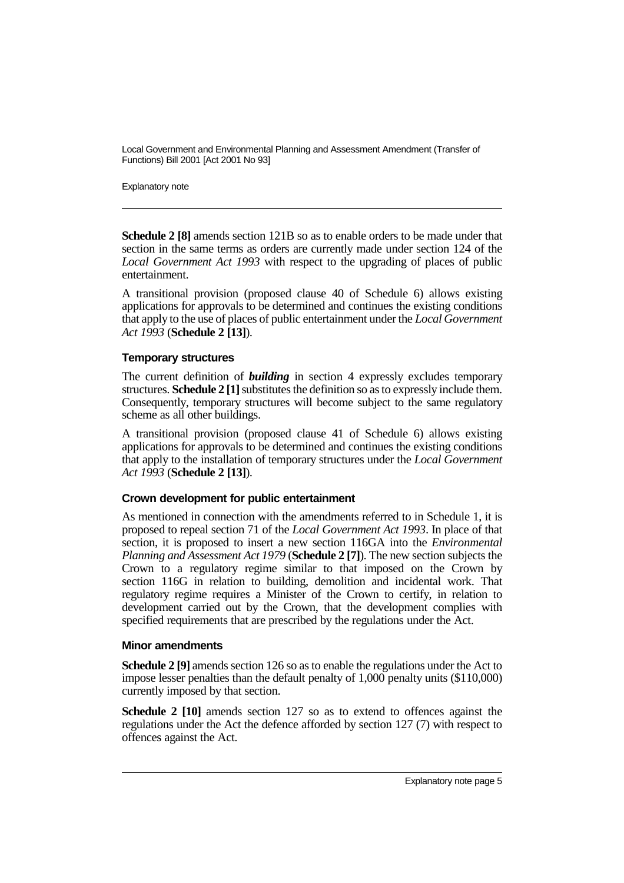Explanatory note

**Schedule 2 [8]** amends section 121B so as to enable orders to be made under that section in the same terms as orders are currently made under section 124 of the *Local Government Act 1993* with respect to the upgrading of places of public entertainment.

A transitional provision (proposed clause 40 of Schedule 6) allows existing applications for approvals to be determined and continues the existing conditions that apply to the use of places of public entertainment under the *Local Government Act 1993* (**Schedule 2 [13]**).

### **Temporary structures**

The current definition of *building* in section 4 expressly excludes temporary structures. **Schedule 2 [1]** substitutes the definition so as to expressly include them. Consequently, temporary structures will become subject to the same regulatory scheme as all other buildings.

A transitional provision (proposed clause 41 of Schedule 6) allows existing applications for approvals to be determined and continues the existing conditions that apply to the installation of temporary structures under the *Local Government Act 1993* (**Schedule 2 [13]**).

## **Crown development for public entertainment**

As mentioned in connection with the amendments referred to in Schedule 1, it is proposed to repeal section 71 of the *Local Government Act 1993*. In place of that section, it is proposed to insert a new section 116GA into the *Environmental Planning and Assessment Act 1979* (**Schedule 2 [7]**). The new section subjects the Crown to a regulatory regime similar to that imposed on the Crown by section 116G in relation to building, demolition and incidental work. That regulatory regime requires a Minister of the Crown to certify, in relation to development carried out by the Crown, that the development complies with specified requirements that are prescribed by the regulations under the Act.

#### **Minor amendments**

**Schedule 2 [9]** amends section 126 so as to enable the regulations under the Act to impose lesser penalties than the default penalty of 1,000 penalty units (\$110,000) currently imposed by that section.

**Schedule 2 [10]** amends section 127 so as to extend to offences against the regulations under the Act the defence afforded by section 127 (7) with respect to offences against the Act.